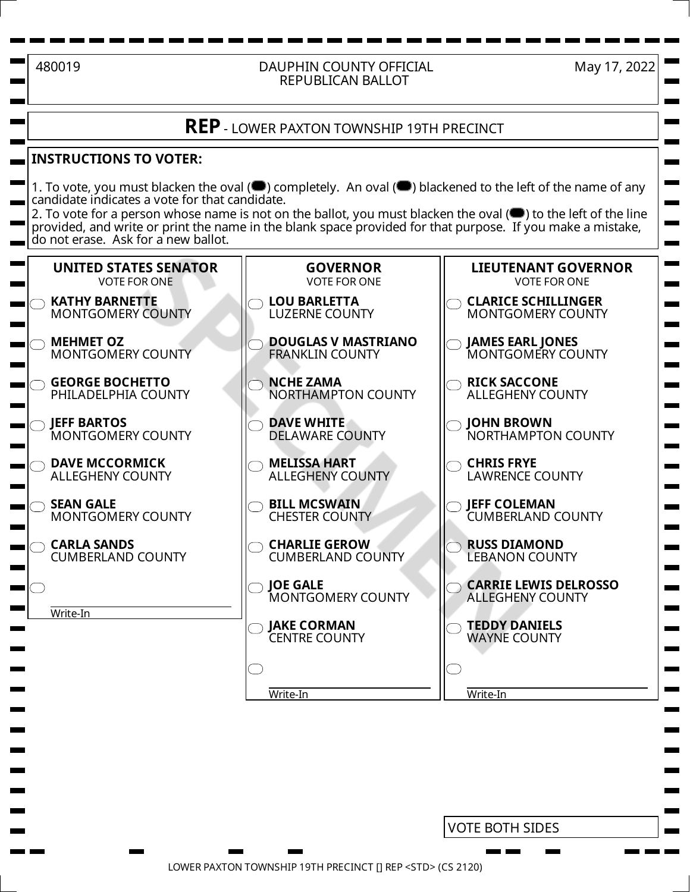## 480019 DAUPHIN COUNTY OFFICIAL REPUBLICAN BALLOT

May 17, 2022

## **REP**- LOWER PAXTON TOWNSHIP 19TH PRECINCT

## **INSTRUCTIONS TO VOTER:**

1. To vote, you must blacken the oval ( $\bullet$ ) completely. An oval ( $\bullet$ ) blackened to the left of the name of any candidate indicates a vote for that candidate.

2. To vote for a person whose name is not on the ballot, you must blacken the oval  $($ **)** to the left of the line provided, and write or print the name in the blank space provided for that purpose. If you make a mistake, do not erase. Ask for a new ballot.



VOTE BOTH SIDES